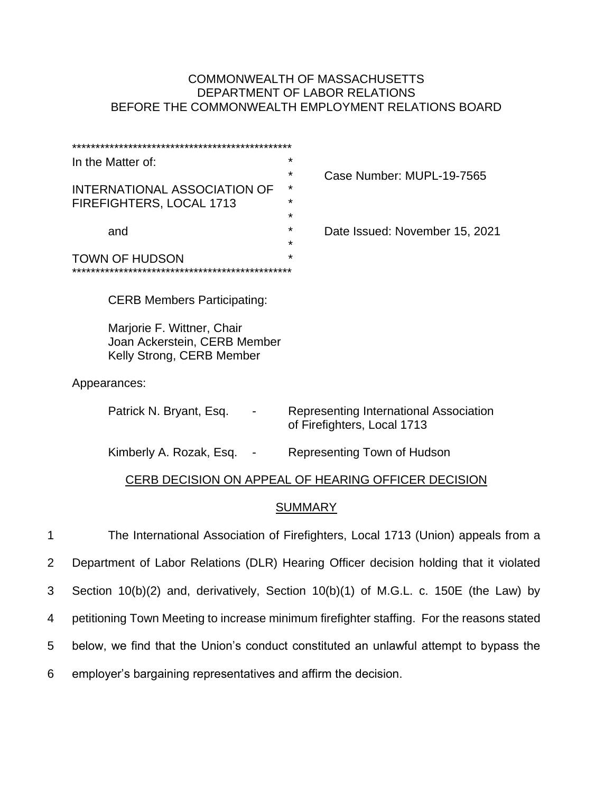# COMMONWEALTH OF MASSACHUSETTS DEPARTMENT OF LABOR RELATIONS BEFORE THE COMMONWEALTH EMPLOYMENT RELATIONS BOARD

|   | ÷<br>In the Matter of:                                                                                                        |
|---|-------------------------------------------------------------------------------------------------------------------------------|
|   | *<br>Case Number: MUPL-19-7565<br><b>INTERNATIONAL ASSOCIATION OF</b><br>*<br>FIREFIGHTERS, LOCAL 1713<br>*<br>$\star$        |
|   | *<br>Date Issued: November 15, 2021<br>and<br>$\star$                                                                         |
|   | <b>TOWN OF HUDSON</b>                                                                                                         |
|   | <b>CERB Members Participating:</b><br>Marjorie F. Wittner, Chair<br>Joan Ackerstein, CERB Member<br>Kelly Strong, CERB Member |
|   | Appearances:                                                                                                                  |
|   | Patrick N. Bryant, Esq.<br>Representing International Association<br><b>Contract Contract</b><br>of Firefighters, Local 1713  |
|   | Kimberly A. Rozak, Esq. -<br>Representing Town of Hudson                                                                      |
|   | CERB DECISION ON APPEAL OF HEARING OFFICER DECISION                                                                           |
|   | <b>SUMMARY</b>                                                                                                                |
| 1 | The International Association of Firefighters, Local 1713 (Union) appeals from a                                              |
| 2 | Department of Labor Relations (DLR) Hearing Officer decision holding that it violated                                         |

3 Section 10(b)(2) and, derivatively, Section 10(b)(1) of M.G.L. c. 150E (the Law) by

4 petitioning Town Meeting to increase minimum firefighter staffing. For the reasons stated

- 5 below, we find that the Union's conduct constituted an unlawful attempt to bypass the
- 6 employer's bargaining representatives and affirm the decision.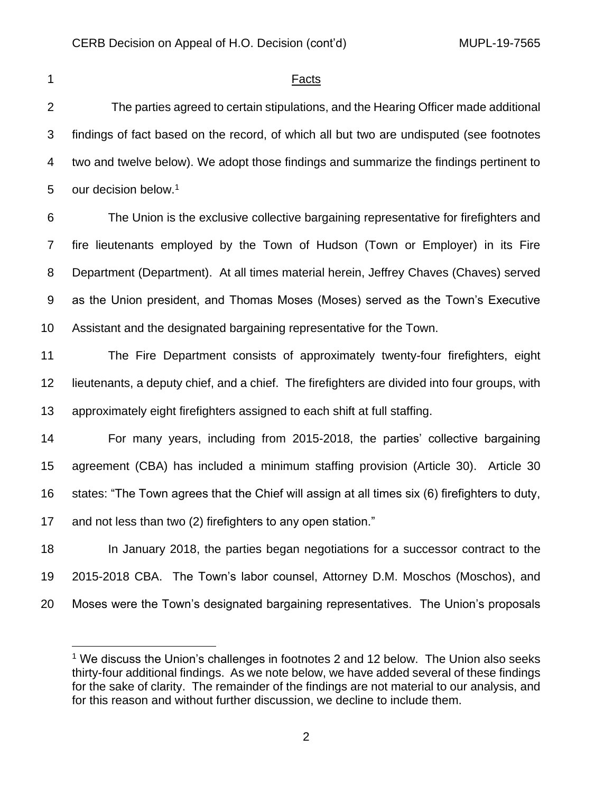#### 1 Facts

 The parties agreed to certain stipulations, and the Hearing Officer made additional findings of fact based on the record, of which all but two are undisputed (see footnotes two and twelve below). We adopt those findings and summarize the findings pertinent to 5 our decision below. $1$ 

 The Union is the exclusive collective bargaining representative for firefighters and fire lieutenants employed by the Town of Hudson (Town or Employer) in its Fire Department (Department). At all times material herein, Jeffrey Chaves (Chaves) served as the Union president, and Thomas Moses (Moses) served as the Town's Executive Assistant and the designated bargaining representative for the Town.

 The Fire Department consists of approximately twenty-four firefighters, eight lieutenants, a deputy chief, and a chief. The firefighters are divided into four groups, with approximately eight firefighters assigned to each shift at full staffing.

 For many years, including from 2015-2018, the parties' collective bargaining agreement (CBA) has included a minimum staffing provision (Article 30). Article 30 states: "The Town agrees that the Chief will assign at all times six (6) firefighters to duty, and not less than two (2) firefighters to any open station."

 In January 2018, the parties began negotiations for a successor contract to the 2015-2018 CBA. The Town's labor counsel, Attorney D.M. Moschos (Moschos), and Moses were the Town's designated bargaining representatives. The Union's proposals

<sup>&</sup>lt;sup>1</sup> We discuss the Union's challenges in footnotes 2 and 12 below. The Union also seeks thirty-four additional findings. As we note below, we have added several of these findings for the sake of clarity. The remainder of the findings are not material to our analysis, and for this reason and without further discussion, we decline to include them.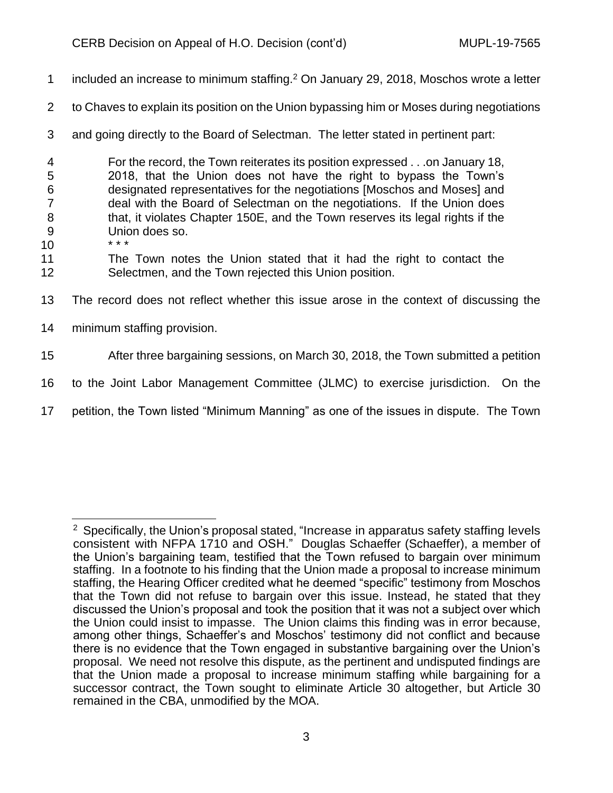- 1 included an increase to minimum staffing. $2$  On January 29, 2018, Moschos wrote a letter
- 2 to Chaves to explain its position on the Union bypassing him or Moses during negotiations
- 3 and going directly to the Board of Selectman. The letter stated in pertinent part:
- 4 For the record, the Town reiterates its position expressed . . .on January 18, 5 2018, that the Union does not have the right to bypass the Town's 6 designated representatives for the negotiations [Moschos and Moses] and 7 deal with the Board of Selectman on the negotiations. If the Union does 8 that, it violates Chapter 150E, and the Town reserves its legal rights if the 9 Union does so.<br>  $...$   $...$   $...$   $...$   $...$
- $10<sup>°</sup>$
- 11 The Town notes the Union stated that it had the right to contact the 12 Selectmen, and the Town rejected this Union position.
- 13 The record does not reflect whether this issue arose in the context of discussing the
- 14 minimum staffing provision.
- 15 After three bargaining sessions, on March 30, 2018, the Town submitted a petition
- 16 to the Joint Labor Management Committee (JLMC) to exercise jurisdiction. On the
- 17 petition, the Town listed "Minimum Manning" as one of the issues in dispute. The Town

 $2$  Specifically, the Union's proposal stated, "Increase in apparatus safety staffing levels consistent with NFPA 1710 and OSH." Douglas Schaeffer (Schaeffer), a member of the Union's bargaining team, testified that the Town refused to bargain over minimum staffing. In a footnote to his finding that the Union made a proposal to increase minimum staffing, the Hearing Officer credited what he deemed "specific" testimony from Moschos that the Town did not refuse to bargain over this issue. Instead, he stated that they discussed the Union's proposal and took the position that it was not a subject over which the Union could insist to impasse. The Union claims this finding was in error because, among other things, Schaeffer's and Moschos' testimony did not conflict and because there is no evidence that the Town engaged in substantive bargaining over the Union's proposal. We need not resolve this dispute, as the pertinent and undisputed findings are that the Union made a proposal to increase minimum staffing while bargaining for a successor contract, the Town sought to eliminate Article 30 altogether, but Article 30 remained in the CBA, unmodified by the MOA.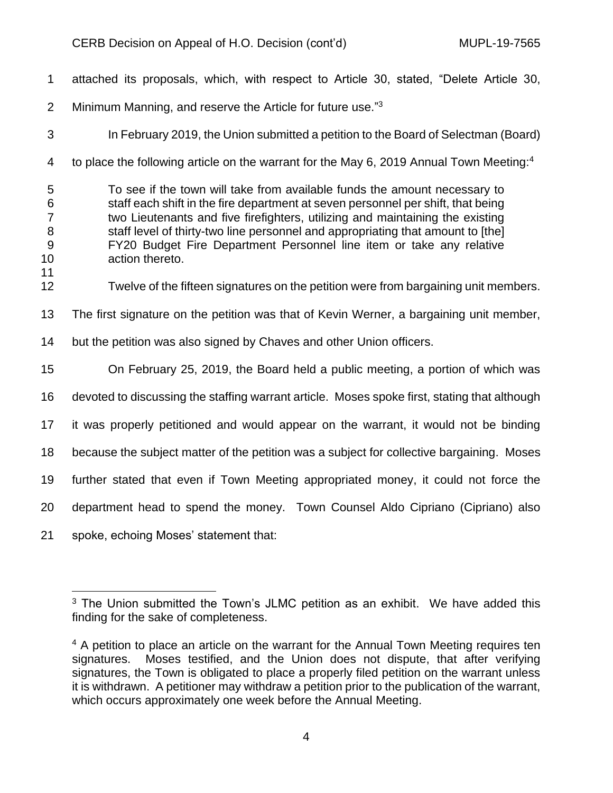| $\mathbf 1$                                    | attached its proposals, which, with respect to Article 30, stated, "Delete Article 30,                                                                                                                                                                                                                                                                                                                                       |
|------------------------------------------------|------------------------------------------------------------------------------------------------------------------------------------------------------------------------------------------------------------------------------------------------------------------------------------------------------------------------------------------------------------------------------------------------------------------------------|
| $\overline{2}$                                 | Minimum Manning, and reserve the Article for future use."3                                                                                                                                                                                                                                                                                                                                                                   |
| 3                                              | In February 2019, the Union submitted a petition to the Board of Selectman (Board)                                                                                                                                                                                                                                                                                                                                           |
| 4                                              | to place the following article on the warrant for the May 6, 2019 Annual Town Meeting: <sup>4</sup>                                                                                                                                                                                                                                                                                                                          |
| 5<br>6<br>$\overline{7}$<br>8<br>9<br>10<br>11 | To see if the town will take from available funds the amount necessary to<br>staff each shift in the fire department at seven personnel per shift, that being<br>two Lieutenants and five firefighters, utilizing and maintaining the existing<br>staff level of thirty-two line personnel and appropriating that amount to [the]<br>FY20 Budget Fire Department Personnel line item or take any relative<br>action thereto. |
| 12                                             | Twelve of the fifteen signatures on the petition were from bargaining unit members.                                                                                                                                                                                                                                                                                                                                          |
| 13                                             | The first signature on the petition was that of Kevin Werner, a bargaining unit member,                                                                                                                                                                                                                                                                                                                                      |
| 14                                             | but the petition was also signed by Chaves and other Union officers.                                                                                                                                                                                                                                                                                                                                                         |
| 15                                             | On February 25, 2019, the Board held a public meeting, a portion of which was                                                                                                                                                                                                                                                                                                                                                |
| 16                                             | devoted to discussing the staffing warrant article. Moses spoke first, stating that although                                                                                                                                                                                                                                                                                                                                 |
| 17                                             | it was properly petitioned and would appear on the warrant, it would not be binding                                                                                                                                                                                                                                                                                                                                          |
| 18                                             | because the subject matter of the petition was a subject for collective bargaining. Moses                                                                                                                                                                                                                                                                                                                                    |
| 19                                             | further stated that even if Town Meeting appropriated money, it could not force the                                                                                                                                                                                                                                                                                                                                          |
| 20                                             | department head to spend the money. Town Counsel Aldo Cipriano (Cipriano) also                                                                                                                                                                                                                                                                                                                                               |
| 21                                             | spoke, echoing Moses' statement that:                                                                                                                                                                                                                                                                                                                                                                                        |
|                                                |                                                                                                                                                                                                                                                                                                                                                                                                                              |

<sup>&</sup>lt;sup>3</sup> The Union submitted the Town's JLMC petition as an exhibit. We have added this finding for the sake of completeness.

<sup>&</sup>lt;sup>4</sup> A petition to place an article on the warrant for the Annual Town Meeting requires ten signatures. Moses testified, and the Union does not dispute, that after verifying signatures, the Town is obligated to place a properly filed petition on the warrant unless it is withdrawn. A petitioner may withdraw a petition prior to the publication of the warrant, which occurs approximately one week before the Annual Meeting.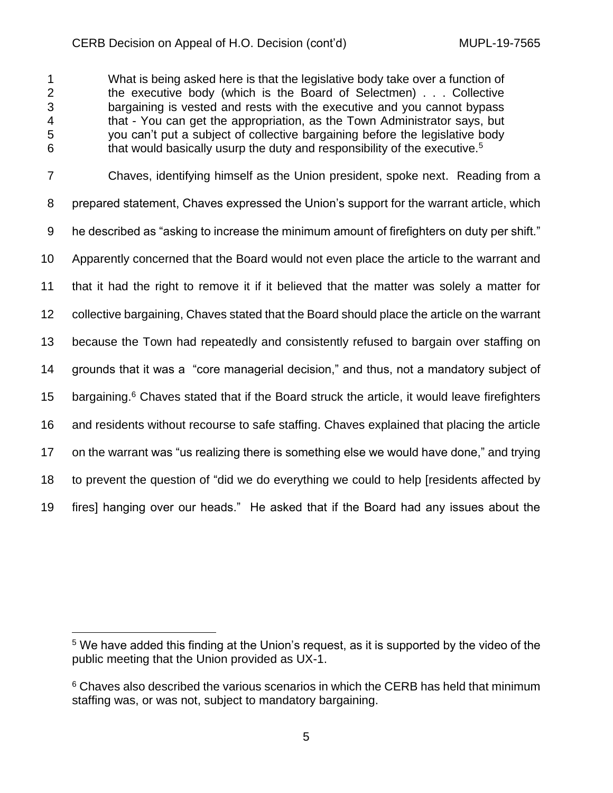What is being asked here is that the legislative body take over a function of the executive body (which is the Board of Selectmen) . . . Collective bargaining is vested and rests with the executive and you cannot bypass that - You can get the appropriation, as the Town Administrator says, but you can't put a subject of collective bargaining before the legislative body 6 6 6 6 6 that would basically usurp the duty and responsibility of the executive.<sup>5</sup>

 Chaves, identifying himself as the Union president, spoke next. Reading from a prepared statement, Chaves expressed the Union's support for the warrant article, which 9 he described as "asking to increase the minimum amount of firefighters on duty per shift." Apparently concerned that the Board would not even place the article to the warrant and that it had the right to remove it if it believed that the matter was solely a matter for collective bargaining, Chaves stated that the Board should place the article on the warrant because the Town had repeatedly and consistently refused to bargain over staffing on grounds that it was a "core managerial decision," and thus, not a mandatory subject of 15 bargaining. <sup>6</sup> Chaves stated that if the Board struck the article, it would leave firefighters and residents without recourse to safe staffing. Chaves explained that placing the article on the warrant was "us realizing there is something else we would have done," and trying to prevent the question of "did we do everything we could to help [residents affected by fires] hanging over our heads." He asked that if the Board had any issues about the

 We have added this finding at the Union's request, as it is supported by the video of the public meeting that the Union provided as UX-1.

<sup>&</sup>lt;sup>6</sup> Chaves also described the various scenarios in which the CERB has held that minimum staffing was, or was not, subject to mandatory bargaining.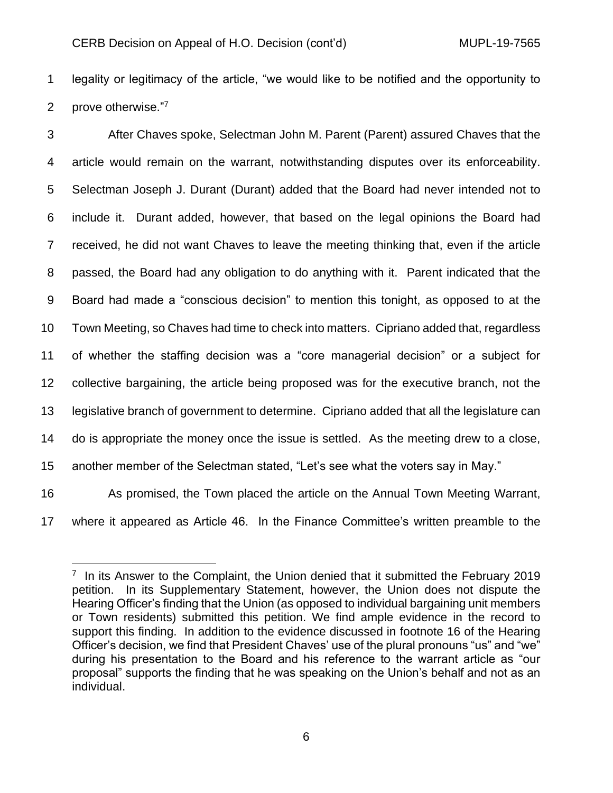legality or legitimacy of the article, "we would like to be notified and the opportunity to 2 prove otherwise."7

 After Chaves spoke, Selectman John M. Parent (Parent) assured Chaves that the article would remain on the warrant, notwithstanding disputes over its enforceability. Selectman Joseph J. Durant (Durant) added that the Board had never intended not to include it. Durant added, however, that based on the legal opinions the Board had received, he did not want Chaves to leave the meeting thinking that, even if the article passed, the Board had any obligation to do anything with it. Parent indicated that the Board had made a "conscious decision" to mention this tonight, as opposed to at the Town Meeting, so Chaves had time to check into matters. Cipriano added that, regardless of whether the staffing decision was a "core managerial decision" or a subject for collective bargaining, the article being proposed was for the executive branch, not the legislative branch of government to determine. Cipriano added that all the legislature can do is appropriate the money once the issue is settled. As the meeting drew to a close, another member of the Selectman stated, "Let's see what the voters say in May." As promised, the Town placed the article on the Annual Town Meeting Warrant,

where it appeared as Article 46. In the Finance Committee's written preamble to the

<sup>&</sup>lt;sup>7</sup> In its Answer to the Complaint, the Union denied that it submitted the February 2019 petition. In its Supplementary Statement, however, the Union does not dispute the Hearing Officer's finding that the Union (as opposed to individual bargaining unit members or Town residents) submitted this petition. We find ample evidence in the record to support this finding. In addition to the evidence discussed in footnote 16 of the Hearing Officer's decision, we find that President Chaves' use of the plural pronouns "us" and "we" during his presentation to the Board and his reference to the warrant article as "our proposal" supports the finding that he was speaking on the Union's behalf and not as an individual.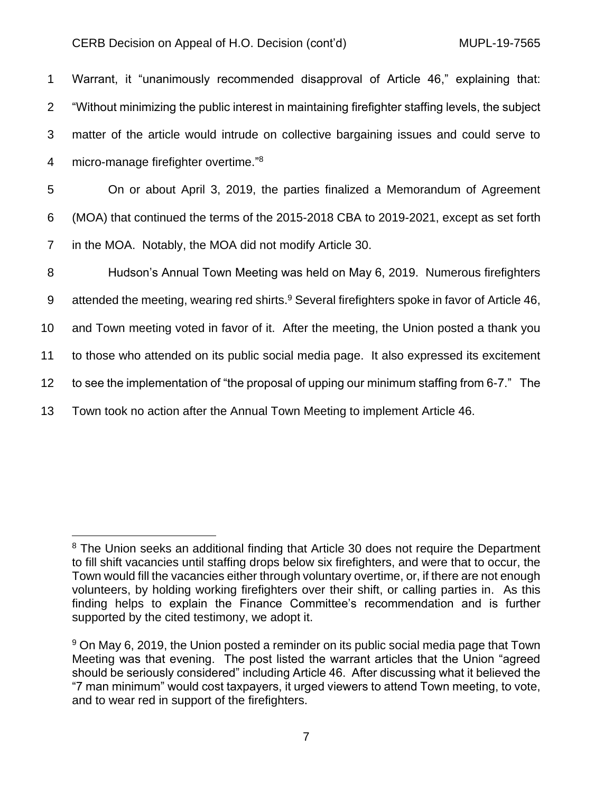|                | Warrant, it "unanimously recommended disapproval of Article 46," explaining that:                 |
|----------------|---------------------------------------------------------------------------------------------------|
|                | 2 "Without minimizing the public interest in maintaining firefighter staffing levels, the subject |
| 3              | matter of the article would intrude on collective bargaining issues and could serve to            |
| $\overline{4}$ | micro-manage firefighter overtime." <sup>8</sup>                                                  |

5 On or about April 3, 2019, the parties finalized a Memorandum of Agreement 6 (MOA) that continued the terms of the 2015-2018 CBA to 2019-2021, except as set forth 7 in the MOA. Notably, the MOA did not modify Article 30.

 Hudson's Annual Town Meeting was held on May 6, 2019. Numerous firefighters 9 attended the meeting, wearing red shirts.<sup>9</sup> Several firefighters spoke in favor of Article 46, and Town meeting voted in favor of it. After the meeting, the Union posted a thank you to those who attended on its public social media page. It also expressed its excitement to see the implementation of "the proposal of upping our minimum staffing from 6-7." The Town took no action after the Annual Town Meeting to implement Article 46.

<sup>&</sup>lt;sup>8</sup> The Union seeks an additional finding that Article 30 does not require the Department to fill shift vacancies until staffing drops below six firefighters, and were that to occur, the Town would fill the vacancies either through voluntary overtime, or, if there are not enough volunteers, by holding working firefighters over their shift, or calling parties in. As this finding helps to explain the Finance Committee's recommendation and is further supported by the cited testimony, we adopt it.

<sup>&</sup>lt;sup>9</sup> On May 6, 2019, the Union posted a reminder on its public social media page that Town Meeting was that evening. The post listed the warrant articles that the Union "agreed should be seriously considered" including Article 46. After discussing what it believed the "7 man minimum" would cost taxpayers, it urged viewers to attend Town meeting, to vote, and to wear red in support of the firefighters.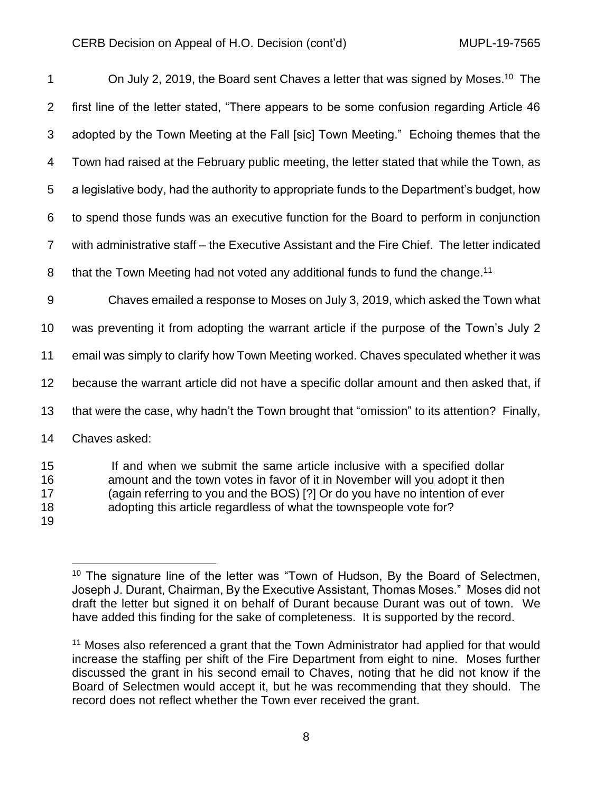| $\mathbf 1$          | On July 2, 2019, the Board sent Chaves a letter that was signed by Moses. <sup>10</sup> The                                                                                                                                                                                                                   |
|----------------------|---------------------------------------------------------------------------------------------------------------------------------------------------------------------------------------------------------------------------------------------------------------------------------------------------------------|
| 2                    | first line of the letter stated, "There appears to be some confusion regarding Article 46                                                                                                                                                                                                                     |
| 3                    | adopted by the Town Meeting at the Fall [sic] Town Meeting." Echoing themes that the                                                                                                                                                                                                                          |
| 4                    | Town had raised at the February public meeting, the letter stated that while the Town, as                                                                                                                                                                                                                     |
| 5                    | a legislative body, had the authority to appropriate funds to the Department's budget, how                                                                                                                                                                                                                    |
| 6                    | to spend those funds was an executive function for the Board to perform in conjunction                                                                                                                                                                                                                        |
| $\overline{7}$       | with administrative staff – the Executive Assistant and the Fire Chief. The letter indicated                                                                                                                                                                                                                  |
| 8                    | that the Town Meeting had not voted any additional funds to fund the change. <sup>11</sup>                                                                                                                                                                                                                    |
| $9\,$                | Chaves emailed a response to Moses on July 3, 2019, which asked the Town what                                                                                                                                                                                                                                 |
| 10                   | was preventing it from adopting the warrant article if the purpose of the Town's July 2                                                                                                                                                                                                                       |
| 11                   | email was simply to clarify how Town Meeting worked. Chaves speculated whether it was                                                                                                                                                                                                                         |
| 12                   | because the warrant article did not have a specific dollar amount and then asked that, if                                                                                                                                                                                                                     |
| 13                   | that were the case, why hadn't the Town brought that "omission" to its attention? Finally,                                                                                                                                                                                                                    |
| 14                   | Chaves asked:                                                                                                                                                                                                                                                                                                 |
| 15<br>16<br>17<br>18 | If and when we submit the same article inclusive with a specified dollar<br>amount and the town votes in favor of it in November will you adopt it then<br>(again referring to you and the BOS) [?] Or do you have no intention of ever<br>adopting this article regardless of what the townspeople vote for? |

<sup>&</sup>lt;sup>10</sup> The signature line of the letter was "Town of Hudson, By the Board of Selectmen, Joseph J. Durant, Chairman, By the Executive Assistant, Thomas Moses." Moses did not draft the letter but signed it on behalf of Durant because Durant was out of town. We have added this finding for the sake of completeness. It is supported by the record.

<sup>&</sup>lt;sup>11</sup> Moses also referenced a grant that the Town Administrator had applied for that would increase the staffing per shift of the Fire Department from eight to nine. Moses further discussed the grant in his second email to Chaves, noting that he did not know if the Board of Selectmen would accept it, but he was recommending that they should. The record does not reflect whether the Town ever received the grant.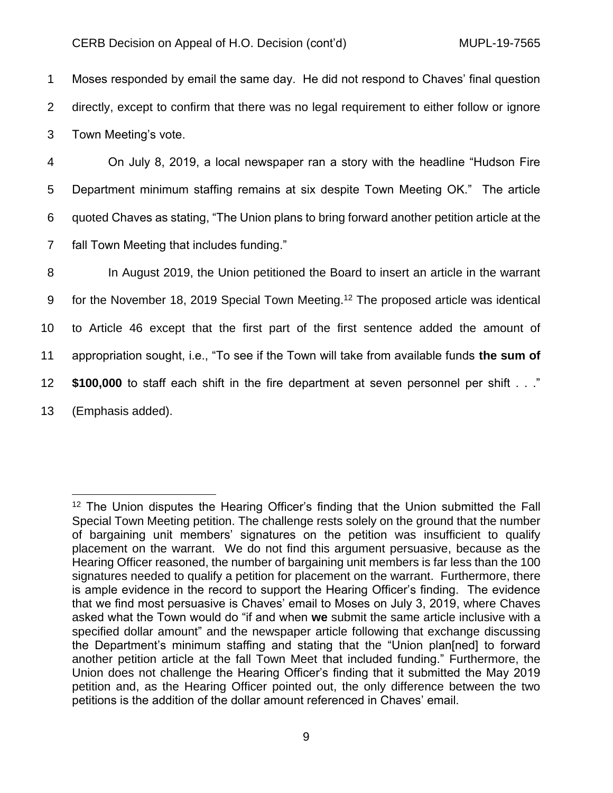1 Moses responded by email the same day. He did not respond to Chaves' final question 2 directly, except to confirm that there was no legal requirement to either follow or ignore 3 Town Meeting's vote.

 On July 8, 2019, a local newspaper ran a story with the headline "Hudson Fire Department minimum staffing remains at six despite Town Meeting OK." The article quoted Chaves as stating, "The Union plans to bring forward another petition article at the fall Town Meeting that includes funding."

 In August 2019, the Union petitioned the Board to insert an article in the warrant 9 for the November 18, 2019 Special Town Meeting.<sup>12</sup> The proposed article was identical to Article 46 except that the first part of the first sentence added the amount of appropriation sought, i.e., "To see if the Town will take from available funds **the sum of \$100,000** to staff each shift in the fire department at seven personnel per shift . . ." (Emphasis added).

<sup>&</sup>lt;sup>12</sup> The Union disputes the Hearing Officer's finding that the Union submitted the Fall Special Town Meeting petition. The challenge rests solely on the ground that the number of bargaining unit members' signatures on the petition was insufficient to qualify placement on the warrant. We do not find this argument persuasive, because as the Hearing Officer reasoned, the number of bargaining unit members is far less than the 100 signatures needed to qualify a petition for placement on the warrant. Furthermore, there is ample evidence in the record to support the Hearing Officer's finding. The evidence that we find most persuasive is Chaves' email to Moses on July 3, 2019, where Chaves asked what the Town would do "if and when **we** submit the same article inclusive with a specified dollar amount" and the newspaper article following that exchange discussing the Department's minimum staffing and stating that the "Union plan[ned] to forward another petition article at the fall Town Meet that included funding." Furthermore, the Union does not challenge the Hearing Officer's finding that it submitted the May 2019 petition and, as the Hearing Officer pointed out, the only difference between the two petitions is the addition of the dollar amount referenced in Chaves' email.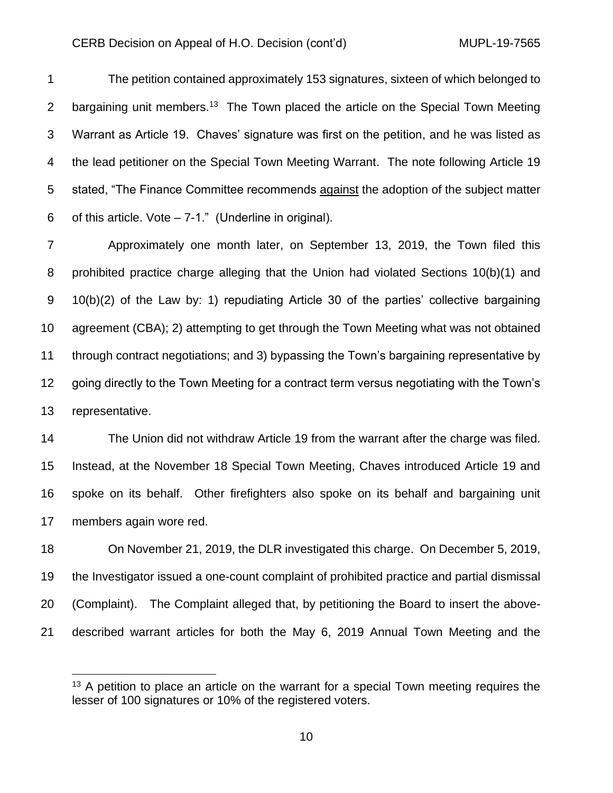The petition contained approximately 153 signatures, sixteen of which belonged to 2 bargaining unit members.<sup>13</sup> The Town placed the article on the Special Town Meeting Warrant as Article 19. Chaves' signature was first on the petition, and he was listed as the lead petitioner on the Special Town Meeting Warrant. The note following Article 19 stated, "The Finance Committee recommends against the adoption of the subject matter 6 of this article. Vote  $-7-1$ ." (Underline in original).

 Approximately one month later, on September 13, 2019, the Town filed this prohibited practice charge alleging that the Union had violated Sections 10(b)(1) and 10(b)(2) of the Law by: 1) repudiating Article 30 of the parties' collective bargaining agreement (CBA); 2) attempting to get through the Town Meeting what was not obtained through contract negotiations; and 3) bypassing the Town's bargaining representative by going directly to the Town Meeting for a contract term versus negotiating with the Town's representative.

 The Union did not withdraw Article 19 from the warrant after the charge was filed. Instead, at the November 18 Special Town Meeting, Chaves introduced Article 19 and spoke on its behalf. Other firefighters also spoke on its behalf and bargaining unit members again wore red.

 On November 21, 2019, the DLR investigated this charge. On December 5, 2019, the Investigator issued a one-count complaint of prohibited practice and partial dismissal (Complaint). The Complaint alleged that, by petitioning the Board to insert the above-described warrant articles for both the May 6, 2019 Annual Town Meeting and the

<sup>&</sup>lt;sup>13</sup> A petition to place an article on the warrant for a special Town meeting requires the lesser of 100 signatures or 10% of the registered voters.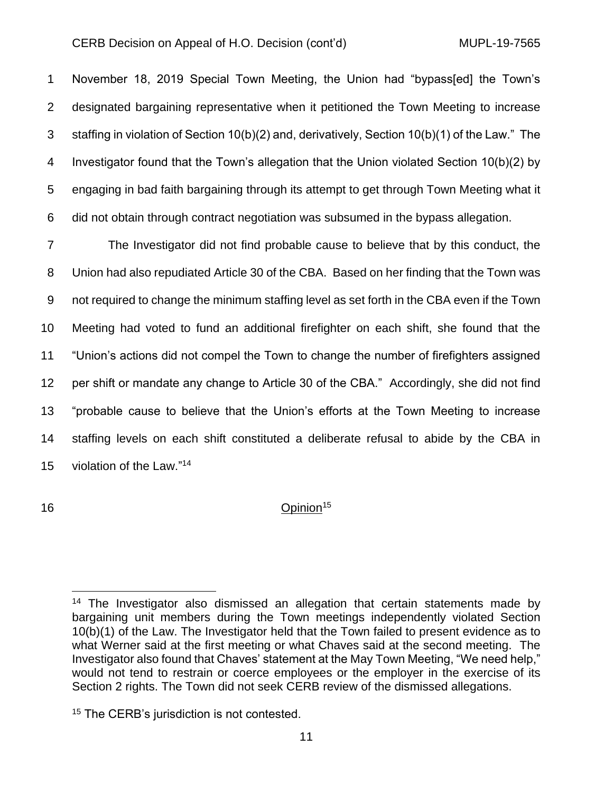November 18, 2019 Special Town Meeting, the Union had "bypass[ed] the Town's designated bargaining representative when it petitioned the Town Meeting to increase staffing in violation of Section 10(b)(2) and, derivatively, Section 10(b)(1) of the Law." The Investigator found that the Town's allegation that the Union violated Section 10(b)(2) by engaging in bad faith bargaining through its attempt to get through Town Meeting what it did not obtain through contract negotiation was subsumed in the bypass allegation.

 The Investigator did not find probable cause to believe that by this conduct, the Union had also repudiated Article 30 of the CBA. Based on her finding that the Town was not required to change the minimum staffing level as set forth in the CBA even if the Town Meeting had voted to fund an additional firefighter on each shift, she found that the "Union's actions did not compel the Town to change the number of firefighters assigned per shift or mandate any change to Article 30 of the CBA." Accordingly, she did not find "probable cause to believe that the Union's efforts at the Town Meeting to increase staffing levels on each shift constituted a deliberate refusal to abide by the CBA in 15 violation of the Law."<sup>14</sup>

# 16 Opinion<sup>15</sup>

 The Investigator also dismissed an allegation that certain statements made by bargaining unit members during the Town meetings independently violated Section 10(b)(1) of the Law. The Investigator held that the Town failed to present evidence as to what Werner said at the first meeting or what Chaves said at the second meeting. The Investigator also found that Chaves' statement at the May Town Meeting, "We need help," would not tend to restrain or coerce employees or the employer in the exercise of its Section 2 rights. The Town did not seek CERB review of the dismissed allegations.

<sup>&</sup>lt;sup>15</sup> The CERB's jurisdiction is not contested.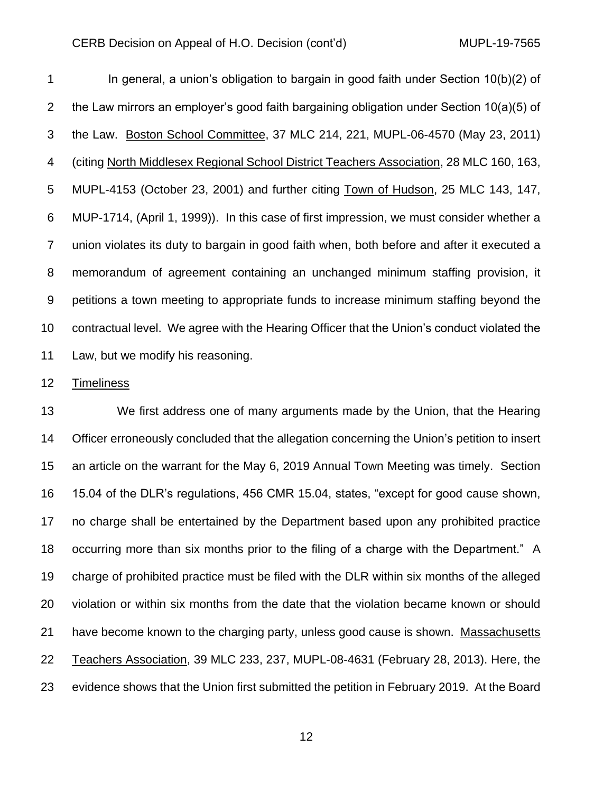In general, a union's obligation to bargain in good faith under Section 10(b)(2) of the Law mirrors an employer's good faith bargaining obligation under Section 10(a)(5) of the Law. Boston School Committee, 37 MLC 214, 221, MUPL-06-4570 (May 23, 2011) (citing North Middlesex Regional School District Teachers Association, 28 MLC 160, 163, MUPL-4153 (October 23, 2001) and further citing Town of Hudson, 25 MLC 143, 147, MUP-1714, (April 1, 1999)). In this case of first impression, we must consider whether a union violates its duty to bargain in good faith when, both before and after it executed a memorandum of agreement containing an unchanged minimum staffing provision, it petitions a town meeting to appropriate funds to increase minimum staffing beyond the contractual level. We agree with the Hearing Officer that the Union's conduct violated the Law, but we modify his reasoning.

#### Timeliness

 We first address one of many arguments made by the Union, that the Hearing 14 Officer erroneously concluded that the allegation concerning the Union's petition to insert an article on the warrant for the May 6, 2019 Annual Town Meeting was timely. Section 15.04 of the DLR's regulations, 456 CMR 15.04, states, "except for good cause shown, no charge shall be entertained by the Department based upon any prohibited practice occurring more than six months prior to the filing of a charge with the Department." A charge of prohibited practice must be filed with the DLR within six months of the alleged violation or within six months from the date that the violation became known or should have become known to the charging party, unless good cause is shown. Massachusetts Teachers Association, 39 MLC 233, 237, MUPL-08-4631 (February 28, 2013). Here, the evidence shows that the Union first submitted the petition in February 2019. At the Board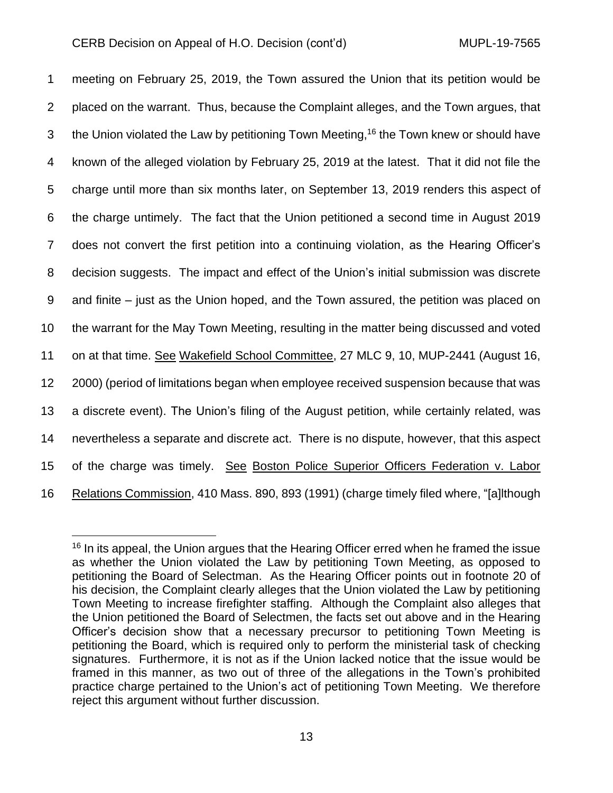meeting on February 25, 2019, the Town assured the Union that its petition would be placed on the warrant. Thus, because the Complaint alleges, and the Town argues, that 3 the Union violated the Law by petitioning Town Meeting,<sup>16</sup> the Town knew or should have known of the alleged violation by February 25, 2019 at the latest. That it did not file the charge until more than six months later, on September 13, 2019 renders this aspect of the charge untimely. The fact that the Union petitioned a second time in August 2019 does not convert the first petition into a continuing violation, as the Hearing Officer's decision suggests. The impact and effect of the Union's initial submission was discrete and finite – just as the Union hoped, and the Town assured, the petition was placed on the warrant for the May Town Meeting, resulting in the matter being discussed and voted on at that time. See Wakefield School Committee, 27 MLC 9, 10, MUP-2441 (August 16, 2000) (period of limitations began when employee received suspension because that was a discrete event). The Union's filing of the August petition, while certainly related, was nevertheless a separate and discrete act. There is no dispute, however, that this aspect of the charge was timely. See Boston Police Superior Officers Federation v. Labor Relations Commission, 410 Mass. 890, 893 (1991) (charge timely filed where, "[a]lthough

<sup>&</sup>lt;sup>16</sup> In its appeal, the Union argues that the Hearing Officer erred when he framed the issue as whether the Union violated the Law by petitioning Town Meeting, as opposed to petitioning the Board of Selectman. As the Hearing Officer points out in footnote 20 of his decision, the Complaint clearly alleges that the Union violated the Law by petitioning Town Meeting to increase firefighter staffing. Although the Complaint also alleges that the Union petitioned the Board of Selectmen, the facts set out above and in the Hearing Officer's decision show that a necessary precursor to petitioning Town Meeting is petitioning the Board, which is required only to perform the ministerial task of checking signatures. Furthermore, it is not as if the Union lacked notice that the issue would be framed in this manner, as two out of three of the allegations in the Town's prohibited practice charge pertained to the Union's act of petitioning Town Meeting. We therefore reject this argument without further discussion.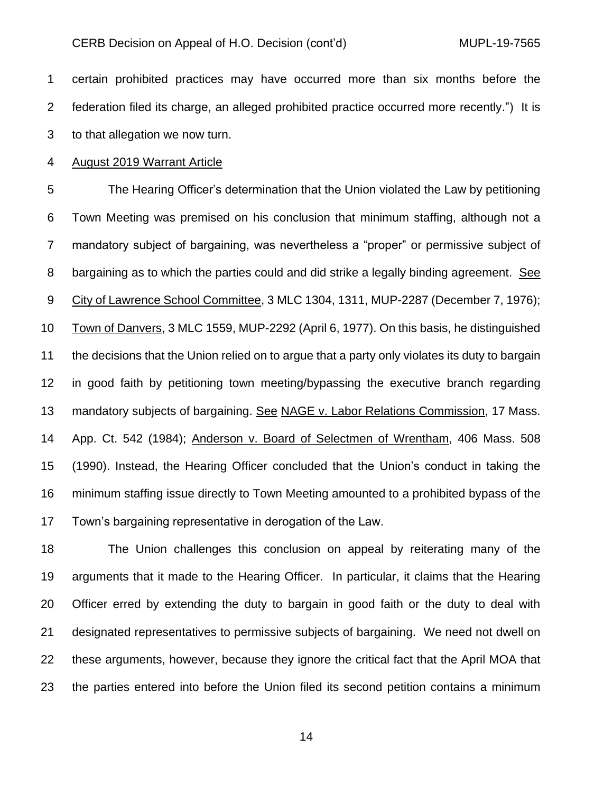certain prohibited practices may have occurred more than six months before the federation filed its charge, an alleged prohibited practice occurred more recently.") It is to that allegation we now turn.

August 2019 Warrant Article

 The Hearing Officer's determination that the Union violated the Law by petitioning Town Meeting was premised on his conclusion that minimum staffing, although not a mandatory subject of bargaining, was nevertheless a "proper" or permissive subject of bargaining as to which the parties could and did strike a legally binding agreement. See City of Lawrence School Committee, 3 MLC 1304, 1311, MUP-2287 (December 7, 1976); Town of Danvers, 3 MLC 1559, MUP-2292 (April 6, 1977). On this basis, he distinguished the decisions that the Union relied on to argue that a party only violates its duty to bargain in good faith by petitioning town meeting/bypassing the executive branch regarding mandatory subjects of bargaining. See NAGE v. Labor Relations Commission, 17 Mass. App. Ct. 542 (1984); Anderson v. Board of Selectmen of Wrentham, 406 Mass. 508 (1990). Instead, the Hearing Officer concluded that the Union's conduct in taking the minimum staffing issue directly to Town Meeting amounted to a prohibited bypass of the Town's bargaining representative in derogation of the Law.

 The Union challenges this conclusion on appeal by reiterating many of the arguments that it made to the Hearing Officer. In particular, it claims that the Hearing Officer erred by extending the duty to bargain in good faith or the duty to deal with designated representatives to permissive subjects of bargaining. We need not dwell on these arguments, however, because they ignore the critical fact that the April MOA that the parties entered into before the Union filed its second petition contains a minimum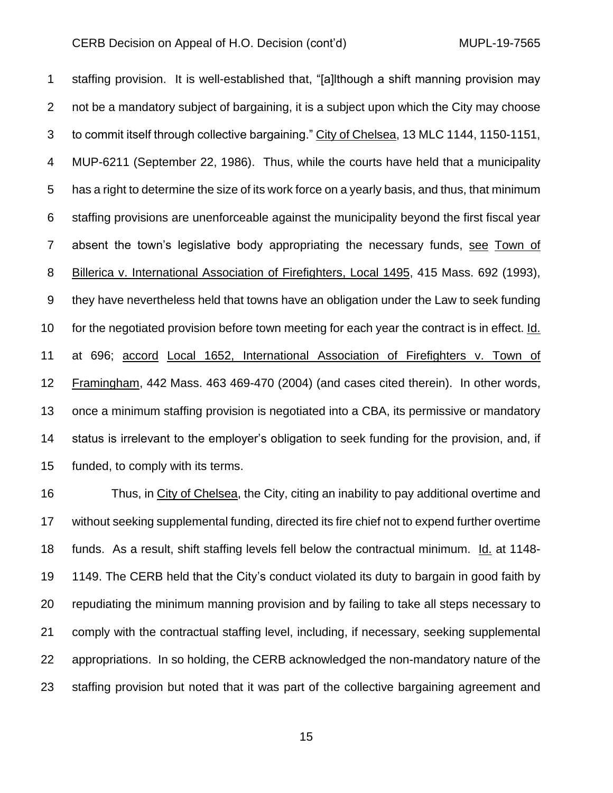staffing provision. It is well-established that, "[a]lthough a shift manning provision may not be a mandatory subject of bargaining, it is a subject upon which the City may choose to commit itself through collective bargaining." City of Chelsea, 13 MLC 1144, 1150-1151, MUP-6211 (September 22, 1986). Thus, while the courts have held that a municipality has a right to determine the size of its work force on a yearly basis, and thus, that minimum staffing provisions are unenforceable against the municipality beyond the first fiscal year absent the town's legislative body appropriating the necessary funds, see Town of Billerica v. International Association of Firefighters, Local 1495, 415 Mass. 692 (1993), they have nevertheless held that towns have an obligation under the Law to seek funding for the negotiated provision before town meeting for each year the contract is in effect. Id. at 696; accord Local 1652, International Association of Firefighters v. Town of Framingham, 442 Mass. 463 469-470 (2004) (and cases cited therein). In other words, once a minimum staffing provision is negotiated into a CBA, its permissive or mandatory status is irrelevant to the employer's obligation to seek funding for the provision, and, if funded, to comply with its terms.

 Thus, in City of Chelsea, the City, citing an inability to pay additional overtime and without seeking supplemental funding, directed its fire chief not to expend further overtime funds. As a result, shift staffing levels fell below the contractual minimum. Id. at 1148- 1149. The CERB held that the City's conduct violated its duty to bargain in good faith by repudiating the minimum manning provision and by failing to take all steps necessary to comply with the contractual staffing level, including, if necessary, seeking supplemental appropriations. In so holding, the CERB acknowledged the non-mandatory nature of the staffing provision but noted that it was part of the collective bargaining agreement and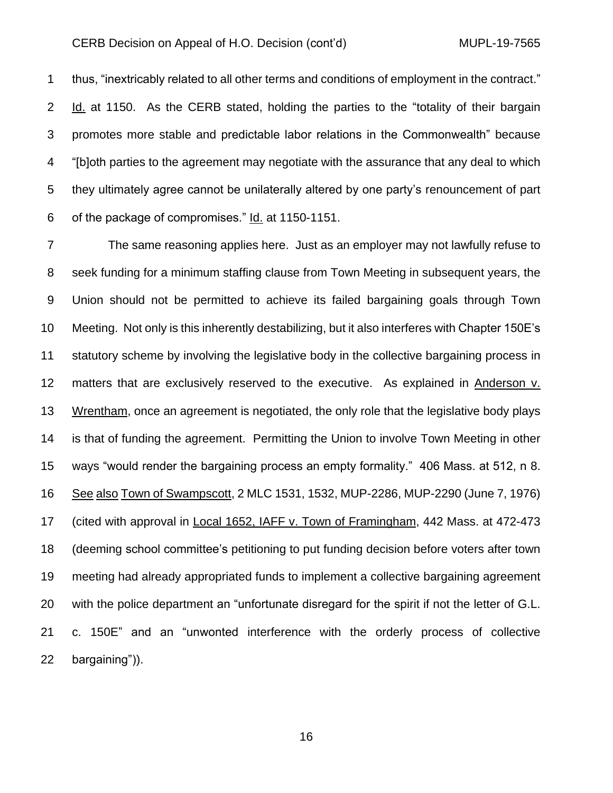thus, "inextricably related to all other terms and conditions of employment in the contract." Id. at 1150. As the CERB stated, holding the parties to the "totality of their bargain promotes more stable and predictable labor relations in the Commonwealth" because "[b]oth parties to the agreement may negotiate with the assurance that any deal to which they ultimately agree cannot be unilaterally altered by one party's renouncement of part of the package of compromises." Id. at 1150-1151.

 The same reasoning applies here. Just as an employer may not lawfully refuse to seek funding for a minimum staffing clause from Town Meeting in subsequent years, the Union should not be permitted to achieve its failed bargaining goals through Town Meeting. Not only is this inherently destabilizing, but it also interferes with Chapter 150E's 11 statutory scheme by involving the legislative body in the collective bargaining process in matters that are exclusively reserved to the executive. As explained in Anderson v. Wrentham, once an agreement is negotiated, the only role that the legislative body plays is that of funding the agreement. Permitting the Union to involve Town Meeting in other ways "would render the bargaining process an empty formality." 406 Mass. at 512, n 8. See also Town of Swampscott, 2 MLC 1531, 1532, MUP-2286, MUP-2290 (June 7, 1976) (cited with approval in Local 1652, IAFF v. Town of Framingham, 442 Mass. at 472-473 (deeming school committee's petitioning to put funding decision before voters after town meeting had already appropriated funds to implement a collective bargaining agreement with the police department an "unfortunate disregard for the spirit if not the letter of G.L. c. 150E" and an "unwonted interference with the orderly process of collective bargaining")).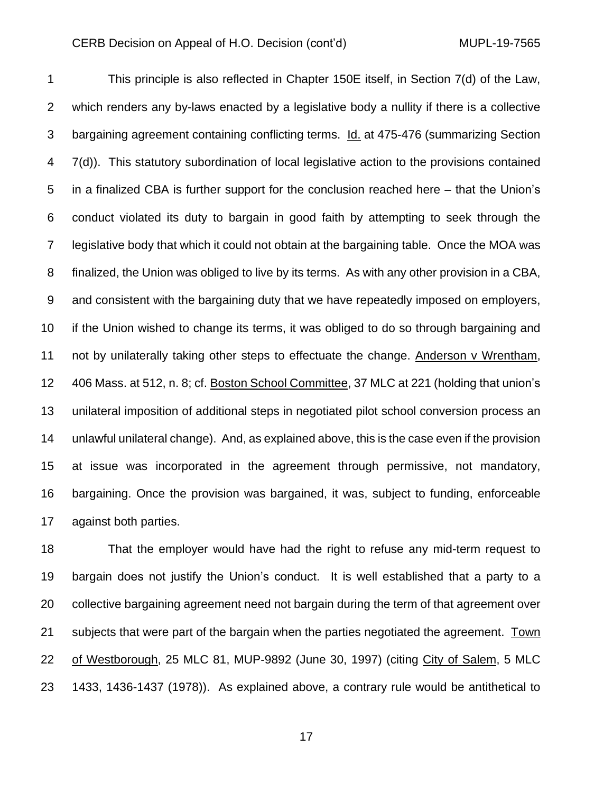This principle is also reflected in Chapter 150E itself, in Section 7(d) of the Law, which renders any by-laws enacted by a legislative body a nullity if there is a collective bargaining agreement containing conflicting terms. Id. at 475-476 (summarizing Section 7(d)). This statutory subordination of local legislative action to the provisions contained in a finalized CBA is further support for the conclusion reached here – that the Union's conduct violated its duty to bargain in good faith by attempting to seek through the legislative body that which it could not obtain at the bargaining table. Once the MOA was finalized, the Union was obliged to live by its terms. As with any other provision in a CBA, and consistent with the bargaining duty that we have repeatedly imposed on employers, if the Union wished to change its terms, it was obliged to do so through bargaining and not by unilaterally taking other steps to effectuate the change. Anderson v Wrentham, 406 Mass. at 512, n. 8; cf. Boston School Committee, 37 MLC at 221 (holding that union's unilateral imposition of additional steps in negotiated pilot school conversion process an unlawful unilateral change). And, as explained above, this is the case even if the provision at issue was incorporated in the agreement through permissive, not mandatory, bargaining. Once the provision was bargained, it was, subject to funding, enforceable against both parties.

 That the employer would have had the right to refuse any mid-term request to bargain does not justify the Union's conduct. It is well established that a party to a collective bargaining agreement need not bargain during the term of that agreement over subjects that were part of the bargain when the parties negotiated the agreement. Town of Westborough, 25 MLC 81, MUP-9892 (June 30, 1997) (citing City of Salem, 5 MLC 1433, 1436-1437 (1978)). As explained above, a contrary rule would be antithetical to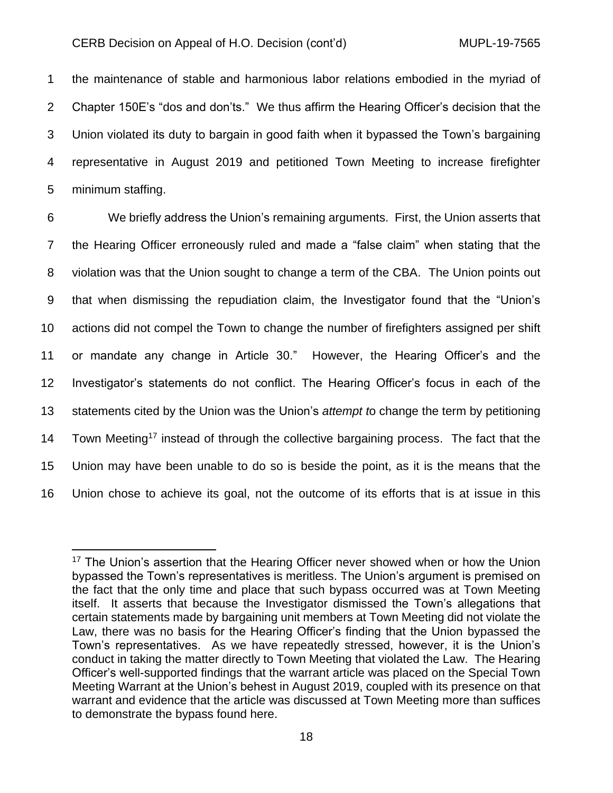the maintenance of stable and harmonious labor relations embodied in the myriad of Chapter 150E's "dos and don'ts." We thus affirm the Hearing Officer's decision that the Union violated its duty to bargain in good faith when it bypassed the Town's bargaining representative in August 2019 and petitioned Town Meeting to increase firefighter minimum staffing.

 We briefly address the Union's remaining arguments. First, the Union asserts that the Hearing Officer erroneously ruled and made a "false claim" when stating that the violation was that the Union sought to change a term of the CBA. The Union points out that when dismissing the repudiation claim, the Investigator found that the "Union's actions did not compel the Town to change the number of firefighters assigned per shift or mandate any change in Article 30." However, the Hearing Officer's and the Investigator's statements do not conflict. The Hearing Officer's focus in each of the statements cited by the Union was the Union's *attempt t*o change the term by petitioning 14 Town Meeting<sup>17</sup> instead of through the collective bargaining process. The fact that the Union may have been unable to do so is beside the point, as it is the means that the Union chose to achieve its goal, not the outcome of its efforts that is at issue in this

<sup>&</sup>lt;sup>17</sup> The Union's assertion that the Hearing Officer never showed when or how the Union bypassed the Town's representatives is meritless. The Union's argument is premised on the fact that the only time and place that such bypass occurred was at Town Meeting itself. It asserts that because the Investigator dismissed the Town's allegations that certain statements made by bargaining unit members at Town Meeting did not violate the Law, there was no basis for the Hearing Officer's finding that the Union bypassed the Town's representatives. As we have repeatedly stressed, however, it is the Union's conduct in taking the matter directly to Town Meeting that violated the Law. The Hearing Officer's well-supported findings that the warrant article was placed on the Special Town Meeting Warrant at the Union's behest in August 2019, coupled with its presence on that warrant and evidence that the article was discussed at Town Meeting more than suffices to demonstrate the bypass found here.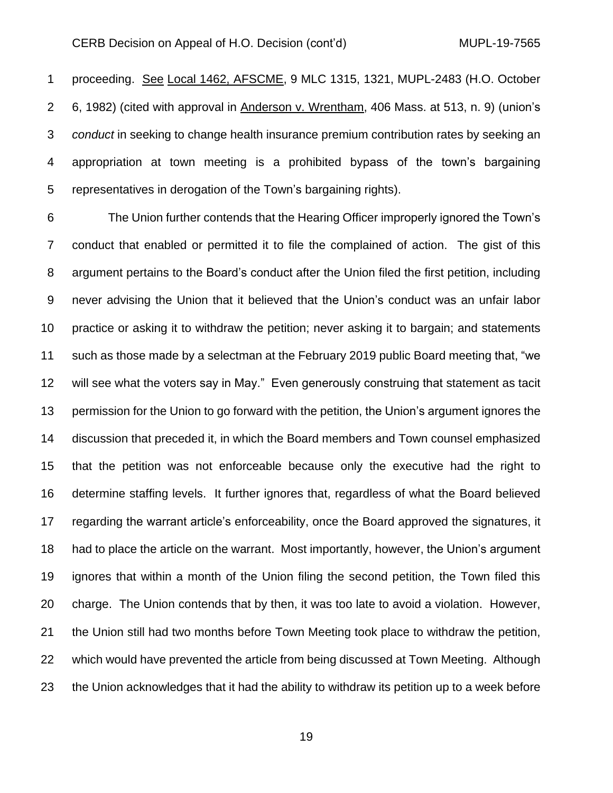proceeding. See Local 1462, AFSCME, 9 MLC 1315, 1321, MUPL-2483 (H.O. October 6, 1982) (cited with approval in Anderson v. Wrentham, 406 Mass. at 513, n. 9) (union's *conduct* in seeking to change health insurance premium contribution rates by seeking an appropriation at town meeting is a prohibited bypass of the town's bargaining representatives in derogation of the Town's bargaining rights).

 The Union further contends that the Hearing Officer improperly ignored the Town's conduct that enabled or permitted it to file the complained of action. The gist of this argument pertains to the Board's conduct after the Union filed the first petition, including never advising the Union that it believed that the Union's conduct was an unfair labor practice or asking it to withdraw the petition; never asking it to bargain; and statements such as those made by a selectman at the February 2019 public Board meeting that, "we will see what the voters say in May." Even generously construing that statement as tacit permission for the Union to go forward with the petition, the Union's argument ignores the discussion that preceded it, in which the Board members and Town counsel emphasized that the petition was not enforceable because only the executive had the right to determine staffing levels. It further ignores that, regardless of what the Board believed regarding the warrant article's enforceability, once the Board approved the signatures, it had to place the article on the warrant. Most importantly, however, the Union's argument ignores that within a month of the Union filing the second petition, the Town filed this charge. The Union contends that by then, it was too late to avoid a violation. However, the Union still had two months before Town Meeting took place to withdraw the petition, which would have prevented the article from being discussed at Town Meeting. Although the Union acknowledges that it had the ability to withdraw its petition up to a week before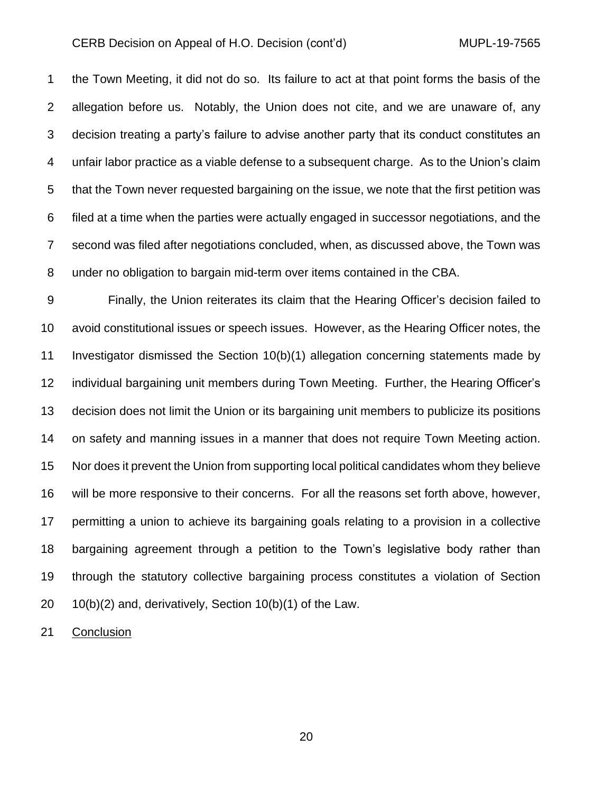the Town Meeting, it did not do so. Its failure to act at that point forms the basis of the allegation before us. Notably, the Union does not cite, and we are unaware of, any decision treating a party's failure to advise another party that its conduct constitutes an unfair labor practice as a viable defense to a subsequent charge. As to the Union's claim that the Town never requested bargaining on the issue, we note that the first petition was filed at a time when the parties were actually engaged in successor negotiations, and the second was filed after negotiations concluded, when, as discussed above, the Town was under no obligation to bargain mid-term over items contained in the CBA.

 Finally, the Union reiterates its claim that the Hearing Officer's decision failed to avoid constitutional issues or speech issues. However, as the Hearing Officer notes, the Investigator dismissed the Section 10(b)(1) allegation concerning statements made by individual bargaining unit members during Town Meeting. Further, the Hearing Officer's decision does not limit the Union or its bargaining unit members to publicize its positions on safety and manning issues in a manner that does not require Town Meeting action. Nor does it prevent the Union from supporting local political candidates whom they believe will be more responsive to their concerns. For all the reasons set forth above, however, permitting a union to achieve its bargaining goals relating to a provision in a collective bargaining agreement through a petition to the Town's legislative body rather than through the statutory collective bargaining process constitutes a violation of Section 10(b)(2) and, derivatively, Section 10(b)(1) of the Law.

Conclusion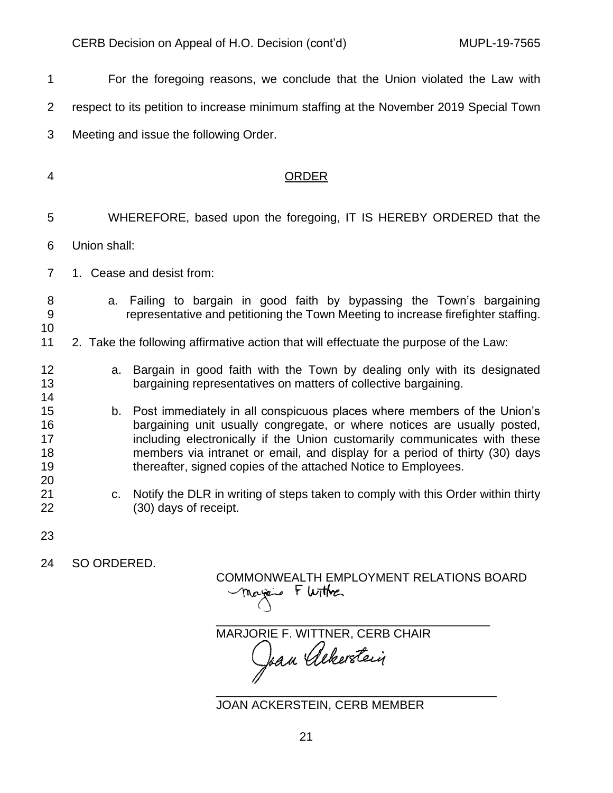| 1                                | For the foregoing reasons, we conclude that the Union violated the Law with                                                                                                                                                                                                                                                                                                             |
|----------------------------------|-----------------------------------------------------------------------------------------------------------------------------------------------------------------------------------------------------------------------------------------------------------------------------------------------------------------------------------------------------------------------------------------|
| $\overline{2}$                   | respect to its petition to increase minimum staffing at the November 2019 Special Town                                                                                                                                                                                                                                                                                                  |
| 3                                | Meeting and issue the following Order.                                                                                                                                                                                                                                                                                                                                                  |
| 4                                | <b>ORDER</b>                                                                                                                                                                                                                                                                                                                                                                            |
| 5                                | WHEREFORE, based upon the foregoing, IT IS HEREBY ORDERED that the                                                                                                                                                                                                                                                                                                                      |
| 6                                | Union shall:                                                                                                                                                                                                                                                                                                                                                                            |
| $\overline{7}$                   | 1. Cease and desist from:                                                                                                                                                                                                                                                                                                                                                               |
| 8<br>9<br>10                     | a. Failing to bargain in good faith by bypassing the Town's bargaining<br>representative and petitioning the Town Meeting to increase firefighter staffing.                                                                                                                                                                                                                             |
| 11                               | 2. Take the following affirmative action that will effectuate the purpose of the Law:                                                                                                                                                                                                                                                                                                   |
| 12<br>13<br>14                   | Bargain in good faith with the Town by dealing only with its designated<br>a.<br>bargaining representatives on matters of collective bargaining.                                                                                                                                                                                                                                        |
| 15<br>16<br>17<br>18<br>19<br>20 | Post immediately in all conspicuous places where members of the Union's<br>b.<br>bargaining unit usually congregate, or where notices are usually posted,<br>including electronically if the Union customarily communicates with these<br>members via intranet or email, and display for a period of thirty (30) days<br>thereafter, signed copies of the attached Notice to Employees. |
| 21<br>22                         | Notify the DLR in writing of steps taken to comply with this Order within thirty<br>$C_{1}$<br>(30) days of receipt.                                                                                                                                                                                                                                                                    |
| 23                               |                                                                                                                                                                                                                                                                                                                                                                                         |

SO ORDERED.

COMMONWEALTH EMPLOYMENT RELATIONS BOARD<br>Margin F Wither

\_\_\_\_\_\_\_\_\_\_\_\_\_\_\_\_\_\_\_\_\_\_\_\_\_\_\_\_\_\_\_\_\_\_\_\_\_\_\_\_\_ MARJORIE F. WITTNER, CERB CHAIR

\_\_\_\_\_\_\_\_\_\_\_\_\_\_\_\_\_\_\_\_\_\_\_\_\_\_\_\_\_\_\_\_\_\_\_\_\_\_\_\_\_\_ JOAN ACKERSTEIN, CERB MEMBER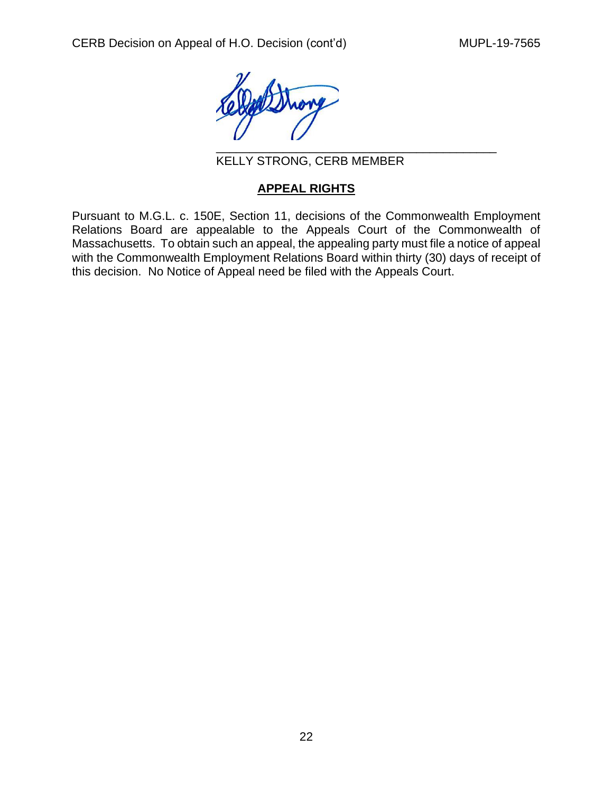

KELLY STRONG, CERB MEMBER

# **APPEAL RIGHTS**

Pursuant to M.G.L. c. 150E, Section 11, decisions of the Commonwealth Employment Relations Board are appealable to the Appeals Court of the Commonwealth of Massachusetts. To obtain such an appeal, the appealing party must file a notice of appeal with the Commonwealth Employment Relations Board within thirty (30) days of receipt of this decision. No Notice of Appeal need be filed with the Appeals Court.